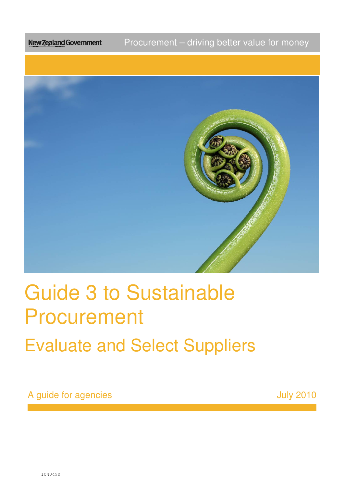Procurement – driving better value for money New Zealand Government



# Guide 3 to Sustainable Procurement Procurement<br>Evaluate and Select Suppliers

A guide for agencies and the set of the set of the set of the set of the set of the set of the set of the set o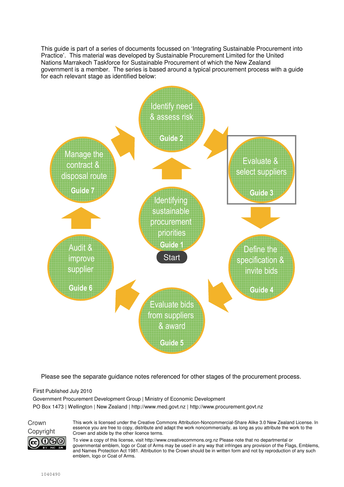This guide is part of a series of documents focussed on 'Integrating Sustainable Procurement into Practice'. This material was developed by Sustainable Procurement Limited for the United Nations Marrakech Taskforce for Sustainable Procurement of which the New Zealand government is a member. The series is based around a typical procurement process with a guide for each relevant stage as identified below:



Please see the separate guidance notes referenced for other stages of the procurement process.

First Published July 2010

Government Procurement Development Group | Ministry of Economic Development PO Box 1473 | Wellington | New Zealand | http://www.med.govt.nz | http://www.procurement.govt.nz

Crown റളൈ

This work is licensed under the Creative Commons Attribution-Noncommercial-Share Alike 3.0 New Zealand License. In essence you are free to copy, distribute and adapt the work noncommercially, as long as you attribute the work to the Copyright Crown and abide by the other licence terms.

> To view a copy of this license, visit http://www.creativecommons.org.nz Please note that no departmental or governmental emblem, logo or Coat of Arms may be used in any way that infringes any provision of the Flags, Emblems, and Names Protection Act 1981. Attribution to the Crown should be in written form and not by reproduction of any such emblem, logo or Coat of Arms.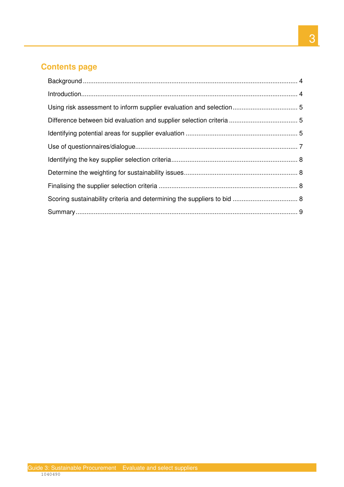#### **Contents page**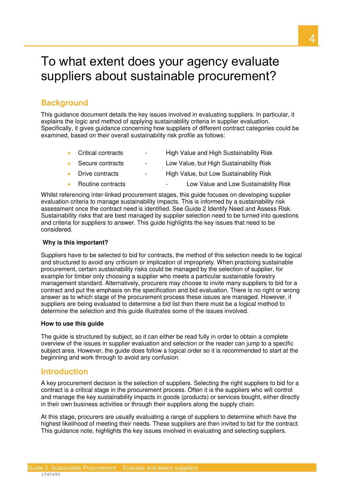# To what extent does your agency evaluate suppliers about sustainable procurement?

# **Background**

 explains the logic and method of applying sustainability criteria in supplier evaluation. Specifically, it gives guidance concerning how suppliers of different contract categories could be .<br>د This guidance document details the key issues involved in evaluating suppliers. In particular, it examined, based on their overall sustainability risk profile as follows:

- Critical contracts High Value and High Sustainability Risk
- Secure contracts Low Value, but High Sustainability Risk
- Drive contracts High Value, but Low Sustainability Risk
- Routine contracts • Routine contracts The Cow Value and Low Sustainability Risk

 Whilst referencing inter-linked procurement stages, this guide focuses on developing supplier evaluation criteria to manage sustainability impacts. This is informed by a sustainability risk assessment once the contract need is identified. See Guide 2 Identify Need and Assess Risk. Sustainability risks that are best managed by supplier selection need to be turned into questions and criteria for suppliers to answer. This guide highlights the key issues that need to be considered.

#### **Why is this important?**

 Suppliers have to be selected to bid for contracts, the method of this selection needs to be logical and structured to avoid any criticism or implication of impropriety. When practicing sustainable procurement, certain sustainability risks could be managed by the selection of supplier, for example for timber only choosing a supplier who meets a particular sustainable forestry management standard. Alternatively, procurers may choose to invite many suppliers to bid for a contract and put the emphasis on the specification and bid evaluation. There is no right or wrong answer as to which stage of the procurement process these issues are managed. However, if suppliers are being evaluated to determine a bid list then there must be a logical method to determine the selection and this guide illustrates some of the issues involved.

#### **How to use this guide**

 The guide is structured by subject, so it can either be read fully in order to obtain a complete overview of the issues in supplier evaluation and selection or the reader can jump to a specific subject area. However, the guide does follow a logical order so it is recommended to start at the beginning and work through to avoid any confusion.

#### **Introduction**

 A key procurement decision is the selection of suppliers. Selecting the right suppliers to bid for a contract is a critical stage in the procurement process. Often it is the suppliers who will control and manage the key sustainability impacts in goods (products) or services bought, either directly in their own business activities or through their suppliers along the supply chain.

 At this stage, procurers are usually evaluating a range of suppliers to determine which have the highest likelihood of meeting their needs. These suppliers are then invited to bid for the contract. This guidance note, highlights the key issues involved in evaluating and selecting suppliers.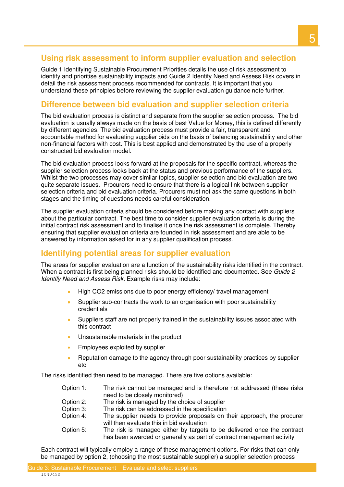#### **Using risk assessment to inform supplier evaluation and selection**

 Guide 1 Identifying Sustainable Procurement Priorities details the use of risk assessment to identify and prioritise sustainability impacts and Guide 2 Identify Need and Assess Risk covers in detail the risk assessment process recommended for contracts. It is important that you understand these principles before reviewing the supplier evaluation guidance note further.

# **Difference between bid evaluation and supplier selection criteria**

 The bid evaluation process is distinct and separate from the supplier selection process. The bid evaluation is usually always made on the basis of best Value for Money, this is defined differently by different agencies. The bid evaluation process must provide a fair, transparent and accountable method for evaluating supplier bids on the basis of balancing sustainability and other non-financial factors with cost. This is best applied and demonstrated by the use of a properly constructed bid evaluation model.

 The bid evaluation process looks forward at the proposals for the specific contract, whereas the supplier selection process looks back at the status and previous performance of the suppliers. Whilst the two processes may cover similar topics, supplier selection and bid evaluation are two quite separate issues. Procurers need to ensure that there is a logical link between supplier selection criteria and bid evaluation criteria. Procurers must not ask the same questions in both stages and the timing of questions needs careful consideration.

 The supplier evaluation criteria should be considered before making any contact with suppliers about the particular contract. The best time to consider supplier evaluation criteria is during the initial contract risk assessment and to finalise it once the risk assessment is complete. Thereby ensuring that supplier evaluation criteria are founded in risk assessment and are able to be answered by information asked for in any supplier qualification process.

### **Identifying potential areas for supplier evaluation**

 The areas for supplier evaluation are a function of the sustainability risks identified in the contract. When a contract is first being planned risks should be identified and documented. See *Guide 2* Identify Need and Assess Risk. Example risks may include:

- High CO2 emissions due to poor energy efficiency/ travel management
- • Supplier sub-contracts the work to an organisation with poor sustainability credentials
- • Suppliers staff are not properly trained in the sustainability issues associated with this contract
- Unsustainable materials in the product
- Employees exploited by supplier
- • Reputation damage to the agency through poor sustainability practices by supplier etc

The risks identified then need to be managed. There are five options available:

- Option 1: need to be closely monitored) The risk cannot be managed and is therefore not addressed (these risks
- Option 2: The risk is managed by the choice of supplier
- Option 3: The risk can be addressed in the specification
- Option 4: will then evaluate this in bid evaluation The supplier needs to provide proposals on their approach, the procurer
- Option 5: has been awarded or generally as part of contract management activity The risk is managed either by targets to be delivered once the contract

 Each contract will typically employ a range of these management options. For risks that can only be managed by option 2, (choosing the most sustainable supplier) a supplier selection process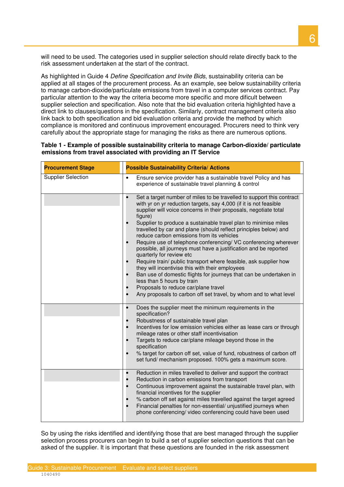will need to be used. The categories used in supplier selection should relate directly back to the risk assessment undertaken at the start of the contract.

As highlighted in Guide 4 *Define Specification and Invite Bids*, sustainability criteria can be applied at all stages of the procurement process. As an example, see below sustainability criteria to manage carbon-dioxide/particulate emissions from travel in a computer services contract. Pay particular attention to the way the criteria become more specific and more dificult between supplier selection and specification. Also note that the bid evaluation criteria highlighted have a direct link to clauses/questions in the specification. Similarly, contract management criteria also link back to both specification and bid evaluation criteria and provide the method by which compliance is monitored and continuous improvement encouraged. Procurers need to think very carefully about the appropriate stage for managing the risks as there are numerous options.

| <b>Procurement Stage</b>  | <b>Possible Sustainability Criteria/ Actions</b>                                                                                                                                                                                                                                                                                                                                                                                                                                                                                                                                                                                                                                                                                                                                                                                                                                                                                      |  |  |  |  |
|---------------------------|---------------------------------------------------------------------------------------------------------------------------------------------------------------------------------------------------------------------------------------------------------------------------------------------------------------------------------------------------------------------------------------------------------------------------------------------------------------------------------------------------------------------------------------------------------------------------------------------------------------------------------------------------------------------------------------------------------------------------------------------------------------------------------------------------------------------------------------------------------------------------------------------------------------------------------------|--|--|--|--|
| <b>Supplier Selection</b> | Ensure service provider has a sustainable travel Policy and has<br>$\bullet$<br>experience of sustainable travel planning & control                                                                                                                                                                                                                                                                                                                                                                                                                                                                                                                                                                                                                                                                                                                                                                                                   |  |  |  |  |
|                           | Set a target number of miles to be travelled to support this contract<br>$\bullet$<br>with yr on yr reduction targets, say 4,000 (if it is not feasible<br>supplier will voice concerns in their proposals, negotiate total<br>figure)<br>Supplier to produce a sustainable travel plan to minimise miles<br>travelled by car and plane (should reflect principles below) and<br>reduce carbon emissions from its vehicles<br>Require use of telephone conferencing/ VC conferencing wherever<br>possible, all journeys must have a justification and be reported<br>quarterly for review etc<br>Require train/ public transport where feasible, ask supplier how<br>they will incentivise this with their employees<br>Ban use of domestic flights for journeys that can be undertaken in<br>less than 5 hours by train<br>Proposals to reduce car/plane travel<br>Any proposals to carbon off set travel, by whom and to what level |  |  |  |  |
|                           | Does the supplier meet the minimum requirements in the<br>$\bullet$<br>specification?<br>Robustness of sustainable travel plan<br>Incentives for low emission vehicles either as lease cars or through<br>mileage rates or other staff incentivisation<br>Targets to reduce car/plane mileage beyond those in the<br>specification<br>% target for carbon off set, value of fund, robustness of carbon off<br>set fund/ mechanism proposed. 100% gets a maximum score.                                                                                                                                                                                                                                                                                                                                                                                                                                                                |  |  |  |  |
|                           | Reduction in miles travelled to deliver and support the contract<br>$\bullet$<br>Reduction in carbon emissions from transport<br>Continuous improvement against the sustainable travel plan, with<br>$\bullet$<br>financial incentives for the supplier<br>% carbon off set against miles travelled against the target agreed<br>Financial penalties for non-essential/ unjustified journeys when<br>phone conferencing/ video conferencing could have been used                                                                                                                                                                                                                                                                                                                                                                                                                                                                      |  |  |  |  |

| Table 1 - Example of possible sustainability criteria to manage Carbon-dioxide/ particulate |
|---------------------------------------------------------------------------------------------|
| emissions from travel associated with providing an IT Service                               |

 So by using the risks identified and identifying those that are best managed through the supplier selection process procurers can begin to build a set of supplier selection questions that can be asked of the supplier. It is important that these questions are founded in the risk assessment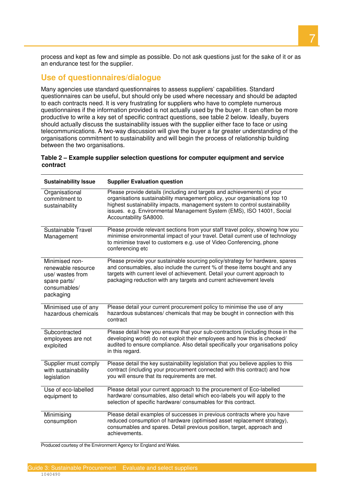process and kept as few and simple as possible. Do not ask questions just for the sake of it or as an endurance test for the supplier.

#### **Use of questionnaires/dialogue**

 Many agencies use standard questionnaires to assess suppliers' capabilities. Standard questionnaires can be useful, but should only be used where necessary and should be adapted to each contracts need. It is very frustrating for suppliers who have to complete numerous questionnaires if the information provided is not actually used by the buyer. It can often be more productive to write a key set of specific contract questions, see table 2 below. Ideally, buyers should actually discuss the sustainability issues with the supplier either face to face or using telecommunications. A two-way discussion will give the buyer a far greater understanding of the organisations commitment to sustainability and will begin the process of relationship building between the two organisations.

#### **Table 2 – Example supplier selection questions for computer equipment and service contract**

| <b>Sustainability Issue</b>                                                                           | <b>Supplier Evaluation question</b>                                                                                                                                                                                                                                                                                                    |  |  |  |  |
|-------------------------------------------------------------------------------------------------------|----------------------------------------------------------------------------------------------------------------------------------------------------------------------------------------------------------------------------------------------------------------------------------------------------------------------------------------|--|--|--|--|
| Organisational<br>commitment to<br>sustainability                                                     | Please provide details (including and targets and achievements) of your<br>organisations sustainability management policy, your organisations top 10<br>highest sustainability impacts, management system to control sustainability<br>issues. e.g. Environmental Management System (EMS), ISO 14001, Social<br>Accountability SA8000. |  |  |  |  |
| Sustainable Travel<br>Management                                                                      | Please provide relevant sections from your staff travel policy, showing how you<br>minimise environmental impact of your travel. Detail current use of technology<br>to minimise travel to customers e.g. use of Video Conferencing, phone<br>conferencing etc                                                                         |  |  |  |  |
| Minimised non-<br>renewable resource<br>use/ wastes from<br>spare parts/<br>consumables/<br>packaging | Please provide your sustainable sourcing policy/strategy for hardware, spares<br>and consumables, also include the current % of these items bought and any<br>targets with current level of achievement. Detail your current approach to<br>packaging reduction with any targets and current achievement levels                        |  |  |  |  |
| Minimised use of any<br>hazardous chemicals                                                           | Please detail your current procurement policy to minimise the use of any<br>hazardous substances/ chemicals that may be bought in connection with this<br>contract                                                                                                                                                                     |  |  |  |  |
| Subcontracted<br>employees are not<br>exploited                                                       | Please detail how you ensure that your sub-contractors (including those in the<br>developing world) do not exploit their employees and how this is checked/<br>audited to ensure compliance. Also detail specifically your organisations policy<br>in this regard.                                                                     |  |  |  |  |
| Supplier must comply<br>with sustainability<br>legislation                                            | Please detail the key sustainability legislation that you believe applies to this<br>contract (including your procurement connected with this contract) and how<br>you will ensure that its requirements are met.                                                                                                                      |  |  |  |  |
| Use of eco-labelled<br>equipment to                                                                   | Please detail your current approach to the procurement of Eco-labelled<br>hardware/ consumables, also detail which eco-labels you will apply to the<br>selection of specific hardware/ consumables for this contract.                                                                                                                  |  |  |  |  |
| Minimising<br>consumption                                                                             | Please detail examples of successes in previous contracts where you have<br>reduced consumption of hardware (optimised asset replacement strategy),<br>consumables and spares. Detail previous position, target, approach and<br>achievements.                                                                                         |  |  |  |  |
| Produced courtesy of the Environment Agency for England and Wales.                                    |                                                                                                                                                                                                                                                                                                                                        |  |  |  |  |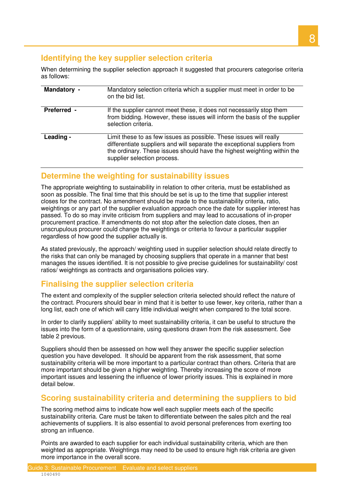# **Identifying the key supplier selection criteria**

 When determining the supplier selection approach it suggested that procurers categorise criteria as follows:

| Mandatory -        | Mandatory selection criteria which a supplier must meet in order to be<br>on the bid list.                                                                                                                                                               |
|--------------------|----------------------------------------------------------------------------------------------------------------------------------------------------------------------------------------------------------------------------------------------------------|
| <b>Preferred -</b> | If the supplier cannot meet these, it does not necessarily stop them<br>from bidding. However, these issues will inform the basis of the supplier<br>selection criteria.                                                                                 |
| Leading -          | Limit these to as few issues as possible. These issues will really<br>differentiate suppliers and will separate the exceptional suppliers from<br>the ordinary. These issues should have the highest weighting within the<br>supplier selection process. |

#### **Determine the weighting for sustainability issues**

 The appropriate weighting to sustainability in relation to other criteria, must be established as soon as possible. The final time that this should be set is up to the time that supplier interest closes for the contract. No amendment should be made to the sustainability criteria, ratio, weightings or any part of the supplier evaluation approach once the date for supplier interest has passed. To do so may invite criticism from suppliers and may lead to accusations of in-proper procurement practice. If amendments do not stop after the selection date closes, then an unscrupulous procurer could change the weightings or criteria to favour a particular supplier regardless of how good the supplier actually is.

 As stated previously, the approach/ weighting used in supplier selection should relate directly to the risks that can only be managed by choosing suppliers that operate in a manner that best manages the issues identified. It is not possible to give precise guidelines for sustainability/ cost ratios/ weightings as contracts and organisations policies vary.

# **Finalising the supplier selection criteria**

 The extent and complexity of the supplier selection criteria selected should reflect the nature of the contract. Procurers should bear in mind that it is better to use fewer, key criteria, rather than a long list, each one of which will carry little individual weight when compared to the total score.

 In order to clarify suppliers' ability to meet sustainability criteria, it can be useful to structure the issues into the form of a questionnaire, using questions drawn from the risk assessment. See table 2 previous.

 Suppliers should then be assessed on how well they answer the specific supplier selection question you have developed. It should be apparent from the risk assessment, that some sustainability criteria will be more important to a particular contract than others. Criteria that are more important should be given a higher weighting. Thereby increasing the score of more important issues and lessening the influence of lower priority issues. This is explained in more detail below.

### **Scoring sustainability criteria and determining the suppliers to bid**

 The scoring method aims to indicate how well each supplier meets each of the specific sustainability criteria. Care must be taken to differentiate between the sales pitch and the real achievements of suppliers. It is also essential to avoid personal preferences from exerting too strong an influence.

 Points are awarded to each supplier for each individual sustainability criteria, which are then weighted as appropriate. Weightings may need to be used to ensure high risk criteria are given more importance in the overall score.